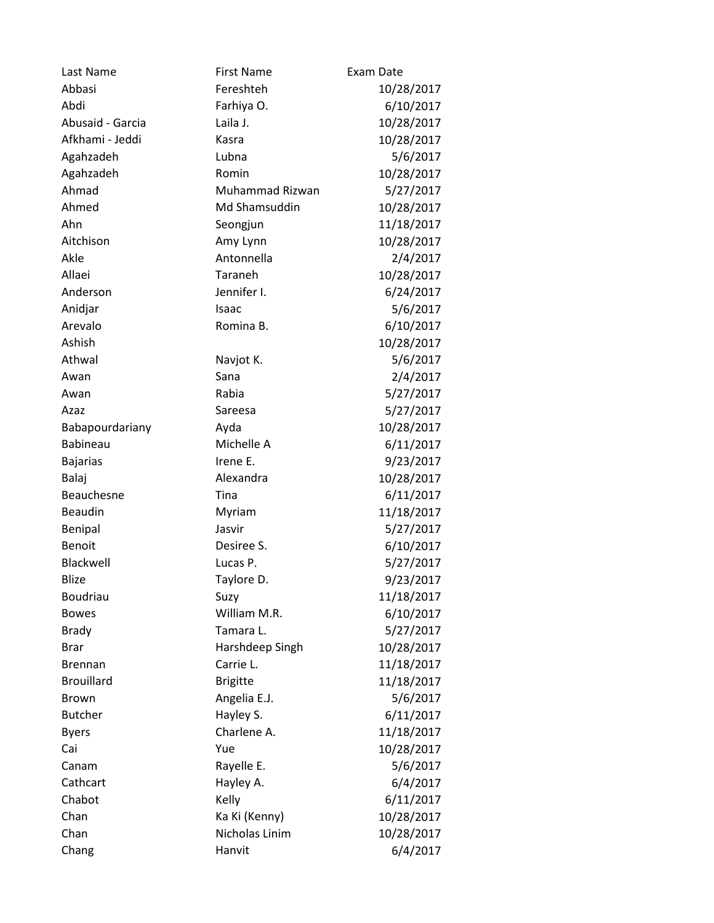| Last Name         | <b>First Name</b> | Exam Date  |
|-------------------|-------------------|------------|
| Abbasi            | Fereshteh         | 10/28/2017 |
| Abdi              | Farhiya O.        | 6/10/2017  |
| Abusaid - Garcia  | Laila J.          | 10/28/2017 |
| Afkhami - Jeddi   | Kasra             | 10/28/2017 |
| Agahzadeh         | Lubna             | 5/6/2017   |
| Agahzadeh         | Romin             | 10/28/2017 |
| Ahmad             | Muhammad Rizwan   | 5/27/2017  |
| Ahmed             | Md Shamsuddin     | 10/28/2017 |
| Ahn               | Seongjun          | 11/18/2017 |
| Aitchison         | Amy Lynn          | 10/28/2017 |
| Akle              | Antonnella        | 2/4/2017   |
| Allaei            | Taraneh           | 10/28/2017 |
| Anderson          | Jennifer I.       | 6/24/2017  |
| Anidjar           | Isaac             | 5/6/2017   |
| Arevalo           | Romina B.         | 6/10/2017  |
| Ashish            |                   | 10/28/2017 |
| Athwal            | Navjot K.         | 5/6/2017   |
| Awan              | Sana              | 2/4/2017   |
| Awan              | Rabia             | 5/27/2017  |
| Azaz              | Sareesa           | 5/27/2017  |
| Babapourdariany   | Ayda              | 10/28/2017 |
| Babineau          | Michelle A        | 6/11/2017  |
| <b>Bajarias</b>   | Irene E.          | 9/23/2017  |
| Balaj             | Alexandra         | 10/28/2017 |
| Beauchesne        | Tina              | 6/11/2017  |
| Beaudin           | Myriam            | 11/18/2017 |
| Benipal           | Jasvir            | 5/27/2017  |
| <b>Benoit</b>     | Desiree S.        | 6/10/2017  |
| Blackwell         | Lucas P.          | 5/27/2017  |
| <b>Blize</b>      | Taylore D.        | 9/23/2017  |
| <b>Boudriau</b>   | Suzy              | 11/18/2017 |
| <b>Bowes</b>      | William M.R.      | 6/10/2017  |
| <b>Brady</b>      | Tamara L.         | 5/27/2017  |
| <b>Brar</b>       | Harshdeep Singh   | 10/28/2017 |
| <b>Brennan</b>    | Carrie L.         | 11/18/2017 |
| <b>Brouillard</b> | <b>Brigitte</b>   | 11/18/2017 |
| Brown             | Angelia E.J.      | 5/6/2017   |
| <b>Butcher</b>    | Hayley S.         | 6/11/2017  |
| <b>Byers</b>      | Charlene A.       | 11/18/2017 |
| Cai               | Yue               | 10/28/2017 |
| Canam             | Rayelle E.        | 5/6/2017   |
| Cathcart          | Hayley A.         | 6/4/2017   |
| Chabot            | Kelly             | 6/11/2017  |
| Chan              | Ka Ki (Kenny)     | 10/28/2017 |
| Chan              | Nicholas Linim    | 10/28/2017 |
| Chang             | Hanvit            | 6/4/2017   |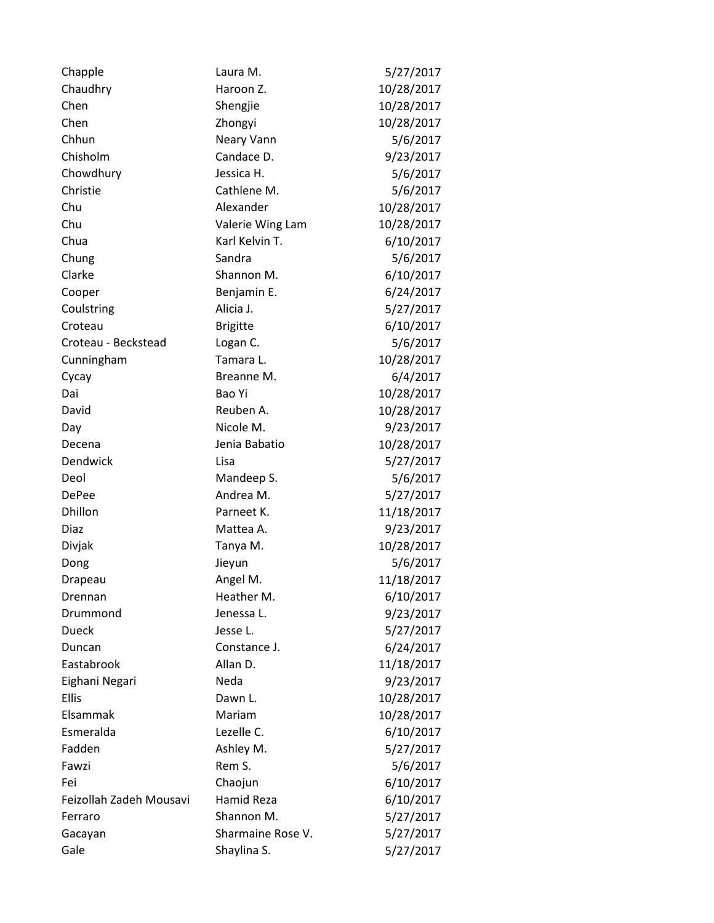| Chapple                 | Laura M.          | 5/27/2017  |
|-------------------------|-------------------|------------|
| Chaudhry                | Haroon Z.         | 10/28/2017 |
| Chen                    | Shengjie          | 10/28/2017 |
| Chen                    | Zhongyi           | 10/28/2017 |
| Chhun                   | Neary Vann        | 5/6/2017   |
| Chisholm                | Candace D.        | 9/23/2017  |
| Chowdhury               | Jessica H.        | 5/6/2017   |
| Christie                | Cathlene M.       | 5/6/2017   |
| Chu                     | Alexander         | 10/28/2017 |
| Chu                     | Valerie Wing Lam  | 10/28/2017 |
| Chua                    | Karl Kelvin T.    | 6/10/2017  |
| Chung                   | Sandra            | 5/6/2017   |
| Clarke                  | Shannon M.        | 6/10/2017  |
| Cooper                  | Benjamin E.       | 6/24/2017  |
| Coulstring              | Alicia J.         | 5/27/2017  |
| Croteau                 | <b>Brigitte</b>   | 6/10/2017  |
| Croteau - Beckstead     | Logan C.          | 5/6/2017   |
| Cunningham              | Tamara L.         | 10/28/2017 |
| Cycay                   | Breanne M.        | 6/4/2017   |
| Dai                     | Bao Yi            | 10/28/2017 |
| David                   | Reuben A.         | 10/28/2017 |
| Day                     | Nicole M.         | 9/23/2017  |
| Decena                  | Jenia Babatio     | 10/28/2017 |
| Dendwick                | Lisa              | 5/27/2017  |
| Deol                    | Mandeep S.        | 5/6/2017   |
| <b>DePee</b>            | Andrea M.         | 5/27/2017  |
| Dhillon                 | Parneet K.        | 11/18/2017 |
| Diaz                    | Mattea A.         | 9/23/2017  |
| Divjak                  | Tanya M.          | 10/28/2017 |
| Dong                    | Jieyun            | 5/6/2017   |
| Drapeau                 | Angel M.          | 11/18/2017 |
| Drennan                 | Heather M.        | 6/10/2017  |
| Drummond                | Jenessa L.        | 9/23/2017  |
| <b>Dueck</b>            | Jesse L.          | 5/27/2017  |
| Duncan                  | Constance J.      | 6/24/2017  |
| Eastabrook              | Allan D.          | 11/18/2017 |
| Eighani Negari          | Neda              | 9/23/2017  |
| Ellis                   | Dawn L.           | 10/28/2017 |
| Elsammak                | Mariam            | 10/28/2017 |
| Esmeralda               | Lezelle C.        | 6/10/2017  |
| Fadden                  | Ashley M.         | 5/27/2017  |
| Fawzi                   | Rem S.            | 5/6/2017   |
| Fei                     | Chaojun           | 6/10/2017  |
| Feizollah Zadeh Mousavi | Hamid Reza        | 6/10/2017  |
| Ferraro                 | Shannon M.        | 5/27/2017  |
| Gacayan                 | Sharmaine Rose V. | 5/27/2017  |
| Gale                    | Shaylina S.       | 5/27/2017  |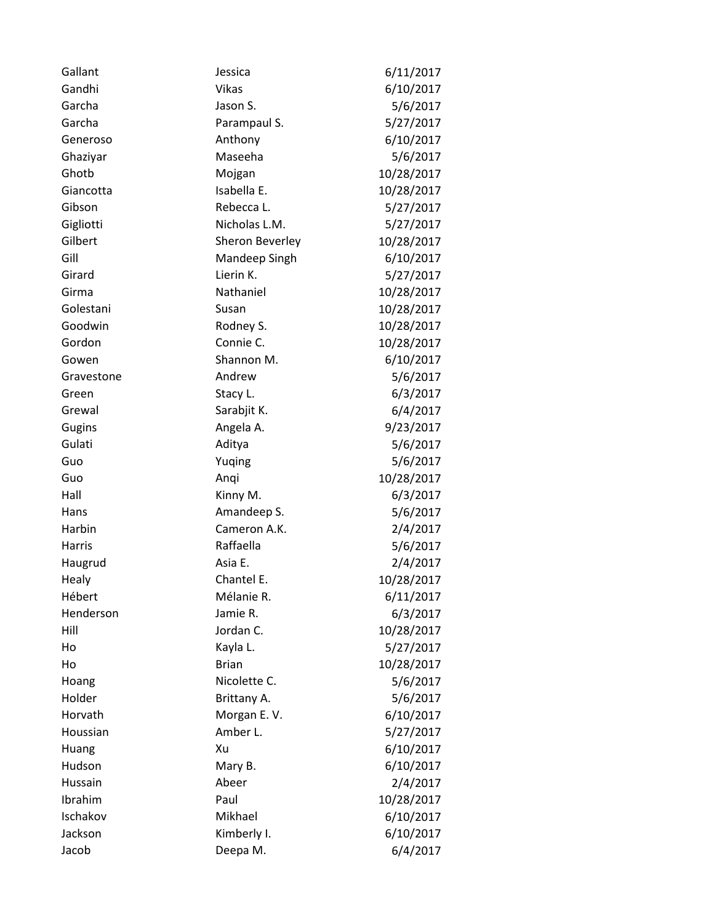| Gallant    | Jessica         | 6/11/2017  |
|------------|-----------------|------------|
| Gandhi     | <b>Vikas</b>    | 6/10/2017  |
| Garcha     | Jason S.        | 5/6/2017   |
| Garcha     | Parampaul S.    | 5/27/2017  |
| Generoso   | Anthony         | 6/10/2017  |
| Ghaziyar   | Maseeha         | 5/6/2017   |
| Ghotb      | Mojgan          | 10/28/2017 |
| Giancotta  | Isabella E.     | 10/28/2017 |
| Gibson     | Rebecca L.      | 5/27/2017  |
| Gigliotti  | Nicholas L.M.   | 5/27/2017  |
| Gilbert    | Sheron Beverley | 10/28/2017 |
| Gill       | Mandeep Singh   | 6/10/2017  |
| Girard     | Lierin K.       | 5/27/2017  |
| Girma      | Nathaniel       | 10/28/2017 |
| Golestani  | Susan           | 10/28/2017 |
| Goodwin    | Rodney S.       | 10/28/2017 |
| Gordon     | Connie C.       | 10/28/2017 |
| Gowen      | Shannon M.      | 6/10/2017  |
| Gravestone | Andrew          | 5/6/2017   |
| Green      | Stacy L.        | 6/3/2017   |
| Grewal     | Sarabjit K.     | 6/4/2017   |
| Gugins     | Angela A.       | 9/23/2017  |
| Gulati     | Aditya          | 5/6/2017   |
| Guo        | Yuqing          | 5/6/2017   |
| Guo        | Anqi            | 10/28/2017 |
| Hall       | Kinny M.        | 6/3/2017   |
| Hans       | Amandeep S.     | 5/6/2017   |
| Harbin     | Cameron A.K.    | 2/4/2017   |
| Harris     | Raffaella       | 5/6/2017   |
| Haugrud    | Asia E.         | 2/4/2017   |
| Healy      | Chantel E.      | 10/28/2017 |
| Hébert     | Mélanie R.      | 6/11/2017  |
| Henderson  | Jamie R.        | 6/3/2017   |
| Hill       | Jordan C.       | 10/28/2017 |
| Ho         | Kayla L.        | 5/27/2017  |
| Ho         | <b>Brian</b>    | 10/28/2017 |
| Hoang      | Nicolette C.    | 5/6/2017   |
| Holder     | Brittany A.     | 5/6/2017   |
| Horvath    | Morgan E.V.     | 6/10/2017  |
| Houssian   | Amber L.        | 5/27/2017  |
| Huang      | Xu              | 6/10/2017  |
| Hudson     | Mary B.         | 6/10/2017  |
| Hussain    | Abeer           | 2/4/2017   |
| Ibrahim    | Paul            | 10/28/2017 |
| Ischakov   | Mikhael         | 6/10/2017  |
| Jackson    | Kimberly I.     | 6/10/2017  |
| Jacob      | Deepa M.        | 6/4/2017   |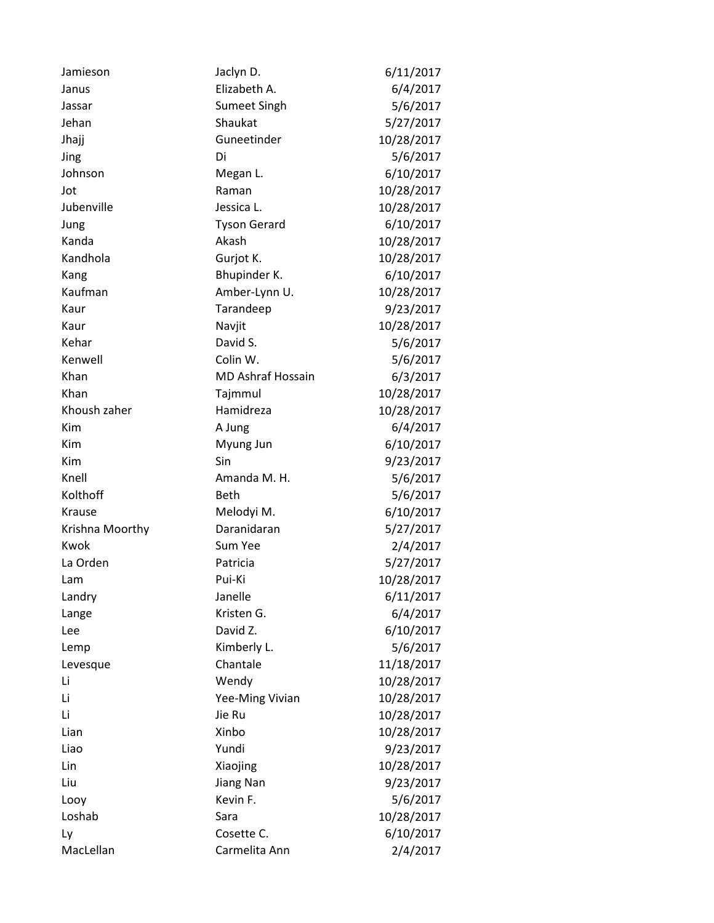| Jamieson        | Jaclyn D.                | 6/11/2017  |
|-----------------|--------------------------|------------|
| Janus           | Elizabeth A.             | 6/4/2017   |
| Jassar          | <b>Sumeet Singh</b>      | 5/6/2017   |
| Jehan           | Shaukat                  | 5/27/2017  |
| Jhajj           | Guneetinder              | 10/28/2017 |
| Jing            | Di                       | 5/6/2017   |
| Johnson         | Megan L.                 | 6/10/2017  |
| Jot             | Raman                    | 10/28/2017 |
| Jubenville      | Jessica L.               | 10/28/2017 |
| Jung            | <b>Tyson Gerard</b>      | 6/10/2017  |
| Kanda           | Akash                    | 10/28/2017 |
| Kandhola        | Gurjot K.                | 10/28/2017 |
| Kang            | Bhupinder K.             | 6/10/2017  |
| Kaufman         | Amber-Lynn U.            | 10/28/2017 |
| Kaur            | Tarandeep                | 9/23/2017  |
| Kaur            | Navjit                   | 10/28/2017 |
| Kehar           | David S.                 | 5/6/2017   |
| Kenwell         | Colin W.                 | 5/6/2017   |
| Khan            | <b>MD Ashraf Hossain</b> | 6/3/2017   |
| Khan            | Tajmmul                  | 10/28/2017 |
| Khoush zaher    | Hamidreza                | 10/28/2017 |
| Kim             | A Jung                   | 6/4/2017   |
| Kim             | Myung Jun                | 6/10/2017  |
| Kim             | Sin                      | 9/23/2017  |
| Knell           | Amanda M. H.             | 5/6/2017   |
| Kolthoff        | <b>Beth</b>              | 5/6/2017   |
| Krause          | Melodyi M.               | 6/10/2017  |
| Krishna Moorthy | Daranidaran              | 5/27/2017  |
| Kwok            | Sum Yee                  | 2/4/2017   |
| La Orden        | Patricia                 | 5/27/2017  |
| Lam             | Pui-Ki                   | 10/28/2017 |
| Landry          | Janelle                  | 6/11/2017  |
| Lange           | Kristen G.               | 6/4/2017   |
| Lee             | David Z.                 | 6/10/2017  |
| Lemp            | Kimberly L.              | 5/6/2017   |
| Levesque        | Chantale                 | 11/18/2017 |
| Li              | Wendy                    | 10/28/2017 |
| Li              | Yee-Ming Vivian          | 10/28/2017 |
| Li              | Jie Ru                   | 10/28/2017 |
| Lian            | Xinbo                    | 10/28/2017 |
| Liao            | Yundi                    | 9/23/2017  |
| Lin             | Xiaojing                 | 10/28/2017 |
| Liu             | Jiang Nan                | 9/23/2017  |
| Looy            | Kevin F.                 | 5/6/2017   |
| Loshab          | Sara                     | 10/28/2017 |
| Ly              | Cosette C.               | 6/10/2017  |
| MacLellan       | Carmelita Ann            | 2/4/2017   |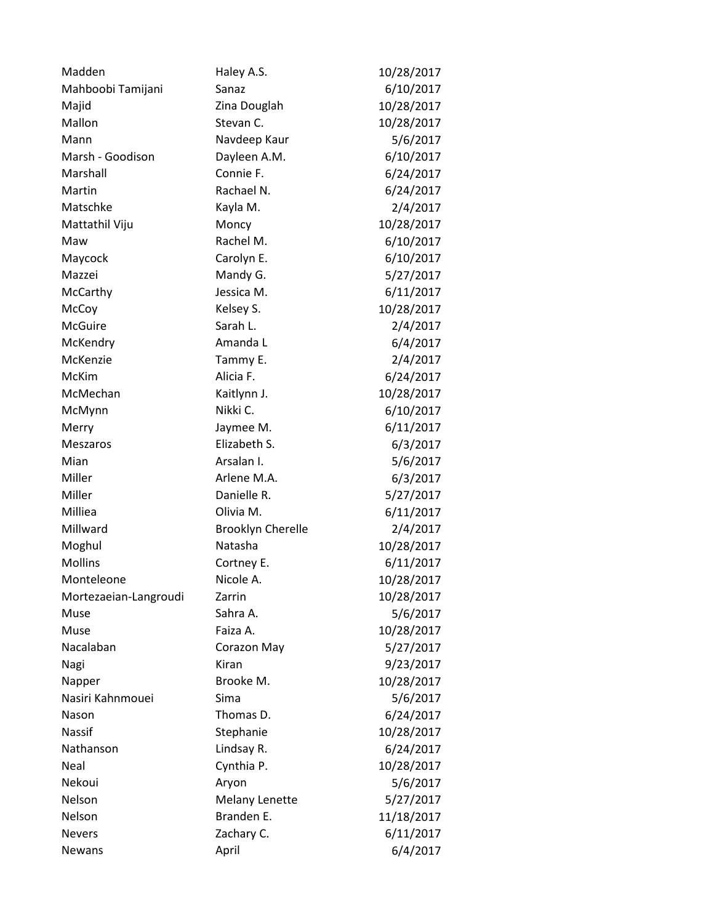| Madden                | Haley A.S.               | 10/28/2017 |
|-----------------------|--------------------------|------------|
| Mahboobi Tamijani     | Sanaz                    | 6/10/2017  |
| Majid                 | Zina Douglah             | 10/28/2017 |
| Mallon                | Stevan C.                | 10/28/2017 |
| Mann                  | Navdeep Kaur             | 5/6/2017   |
| Marsh - Goodison      | Dayleen A.M.             | 6/10/2017  |
| Marshall              | Connie F.                | 6/24/2017  |
| Martin                | Rachael N.               | 6/24/2017  |
| Matschke              | Kayla M.                 | 2/4/2017   |
| Mattathil Viju        | Moncy                    | 10/28/2017 |
| Maw                   | Rachel M.                | 6/10/2017  |
| Maycock               | Carolyn E.               | 6/10/2017  |
| Mazzei                | Mandy G.                 | 5/27/2017  |
| McCarthy              | Jessica M.               | 6/11/2017  |
| McCoy                 | Kelsey S.                | 10/28/2017 |
| <b>McGuire</b>        | Sarah L.                 | 2/4/2017   |
| McKendry              | Amanda L                 | 6/4/2017   |
| McKenzie              | Tammy E.                 | 2/4/2017   |
| McKim                 | Alicia F.                | 6/24/2017  |
| McMechan              | Kaitlynn J.              | 10/28/2017 |
| McMynn                | Nikki C.                 | 6/10/2017  |
| Merry                 | Jaymee M.                | 6/11/2017  |
| Meszaros              | Elizabeth S.             | 6/3/2017   |
| Mian                  | Arsalan I.               | 5/6/2017   |
| Miller                | Arlene M.A.              | 6/3/2017   |
| Miller                | Danielle R.              | 5/27/2017  |
| Milliea               | Olivia M.                | 6/11/2017  |
| Millward              | <b>Brooklyn Cherelle</b> | 2/4/2017   |
| Moghul                | Natasha                  | 10/28/2017 |
| <b>Mollins</b>        | Cortney E.               | 6/11/2017  |
| Monteleone            | Nicole A.                | 10/28/2017 |
| Mortezaeian-Langroudi | Zarrin                   | 10/28/2017 |
| Muse                  | Sahra A.                 | 5/6/2017   |
| Muse                  | Faiza A.                 | 10/28/2017 |
| Nacalaban             | Corazon May              | 5/27/2017  |
| Nagi                  | Kiran                    | 9/23/2017  |
| Napper                | Brooke M.                | 10/28/2017 |
| Nasiri Kahnmouei      | Sima                     | 5/6/2017   |
| Nason                 | Thomas D.                | 6/24/2017  |
| Nassif                | Stephanie                | 10/28/2017 |
| Nathanson             | Lindsay R.               | 6/24/2017  |
| Neal                  | Cynthia P.               | 10/28/2017 |
| Nekoui                | Aryon                    | 5/6/2017   |
| Nelson                | <b>Melany Lenette</b>    | 5/27/2017  |
| Nelson                | Branden E.               | 11/18/2017 |
| <b>Nevers</b>         | Zachary C.               | 6/11/2017  |
| Newans                | April                    | 6/4/2017   |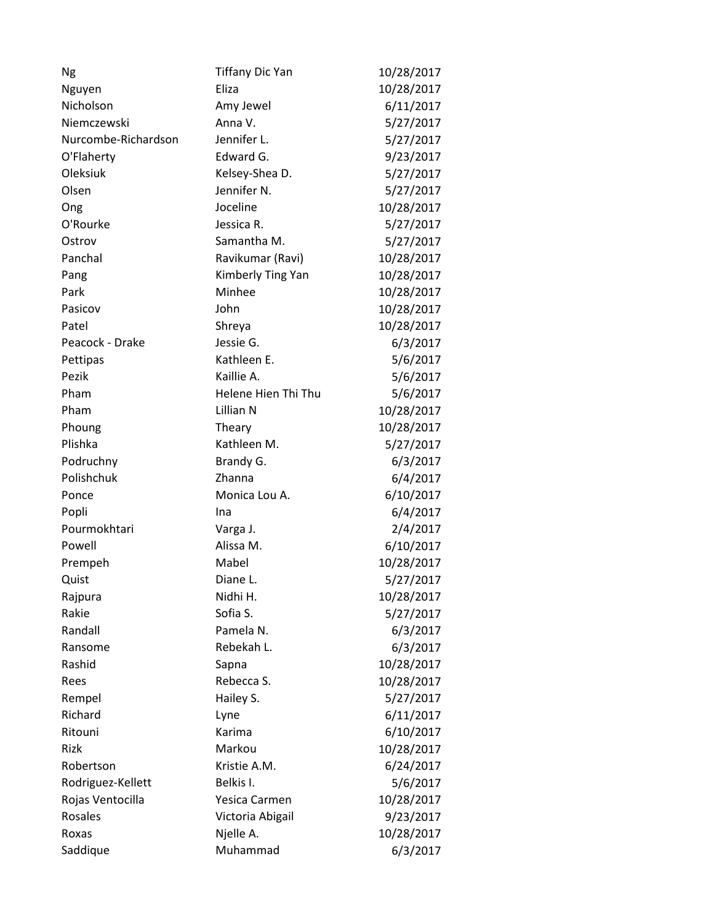| Ng                  | <b>Tiffany Dic Yan</b> | 10/28/2017 |
|---------------------|------------------------|------------|
| Nguyen              | Eliza                  | 10/28/2017 |
| Nicholson           | Amy Jewel              | 6/11/2017  |
| Niemczewski         | Anna V.                | 5/27/2017  |
| Nurcombe-Richardson | Jennifer L.            | 5/27/2017  |
| O'Flaherty          | Edward G.              | 9/23/2017  |
| Oleksiuk            | Kelsey-Shea D.         | 5/27/2017  |
| Olsen               | Jennifer N.            | 5/27/2017  |
| Ong                 | Joceline               | 10/28/2017 |
| O'Rourke            | Jessica R.             | 5/27/2017  |
| Ostrov              | Samantha M.            | 5/27/2017  |
| Panchal             | Ravikumar (Ravi)       | 10/28/2017 |
| Pang                | Kimberly Ting Yan      | 10/28/2017 |
| Park                | Minhee                 | 10/28/2017 |
| Pasicov             | John                   | 10/28/2017 |
| Patel               | Shreya                 | 10/28/2017 |
| Peacock - Drake     | Jessie G.              | 6/3/2017   |
| Pettipas            | Kathleen E.            | 5/6/2017   |
| Pezik               | Kaillie A.             | 5/6/2017   |
| Pham                | Helene Hien Thi Thu    | 5/6/2017   |
| Pham                | Lillian N              | 10/28/2017 |
| Phoung              | Theary                 | 10/28/2017 |
| Plishka             | Kathleen M.            | 5/27/2017  |
| Podruchny           | Brandy G.              | 6/3/2017   |
| Polishchuk          | Zhanna                 | 6/4/2017   |
| Ponce               | Monica Lou A.          | 6/10/2017  |
| Popli               | Ina                    | 6/4/2017   |
| Pourmokhtari        | Varga J.               | 2/4/2017   |
| Powell              | Alissa M.              | 6/10/2017  |
| Prempeh             | Mabel                  | 10/28/2017 |
| Quist               | Diane L.               | 5/27/2017  |
| Rajpura             | Nidhi H.               | 10/28/2017 |
| Rakie               | Sofia S.               | 5/27/2017  |
| Randall             | Pamela N.              | 6/3/2017   |
| Ransome             | Rebekah L.             | 6/3/2017   |
| Rashid              | Sapna                  | 10/28/2017 |
| Rees                | Rebecca S.             | 10/28/2017 |
| Rempel              | Hailey S.              | 5/27/2017  |
| Richard             | Lyne                   | 6/11/2017  |
| Ritouni             | Karima                 | 6/10/2017  |
| Rizk                | Markou                 | 10/28/2017 |
| Robertson           | Kristie A.M.           | 6/24/2017  |
| Rodriguez-Kellett   | Belkis I.              | 5/6/2017   |
| Rojas Ventocilla    | Yesica Carmen          | 10/28/2017 |
| Rosales             | Victoria Abigail       | 9/23/2017  |
| Roxas               | Njelle A.              | 10/28/2017 |
| Saddique            | Muhammad               | 6/3/2017   |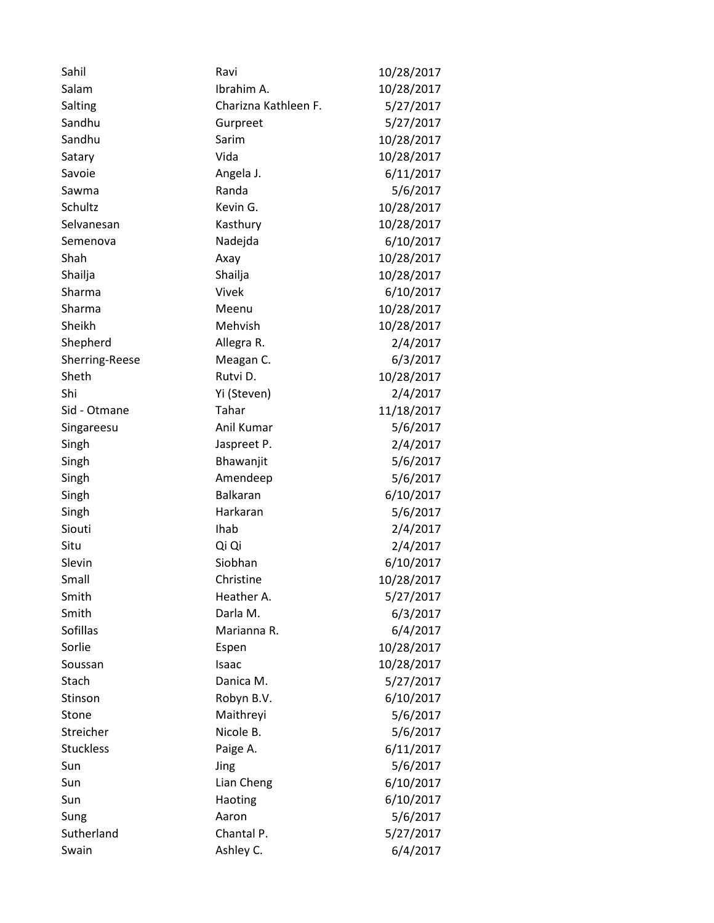| Sahil            | Ravi                 | 10/28/2017 |
|------------------|----------------------|------------|
| Salam            | Ibrahim A.           | 10/28/2017 |
| Salting          | Charizna Kathleen F. | 5/27/2017  |
| Sandhu           | Gurpreet             | 5/27/2017  |
| Sandhu           | Sarim                | 10/28/2017 |
| Satary           | Vida                 | 10/28/2017 |
| Savoie           | Angela J.            | 6/11/2017  |
| Sawma            | Randa                | 5/6/2017   |
| Schultz          | Kevin G.             | 10/28/2017 |
| Selvanesan       | Kasthury             | 10/28/2017 |
| Semenova         | Nadejda              | 6/10/2017  |
| Shah             | Axay                 | 10/28/2017 |
| Shailja          | Shailja              | 10/28/2017 |
| Sharma           | Vivek                | 6/10/2017  |
| Sharma           | Meenu                | 10/28/2017 |
| Sheikh           | Mehvish              | 10/28/2017 |
| Shepherd         | Allegra R.           | 2/4/2017   |
| Sherring-Reese   | Meagan C.            | 6/3/2017   |
| Sheth            | Rutvi D.             | 10/28/2017 |
| Shi              | Yi (Steven)          | 2/4/2017   |
| Sid - Otmane     | Tahar                | 11/18/2017 |
| Singareesu       | Anil Kumar           | 5/6/2017   |
| Singh            | Jaspreet P.          | 2/4/2017   |
| Singh            | Bhawanjit            | 5/6/2017   |
| Singh            | Amendeep             | 5/6/2017   |
| Singh            | <b>Balkaran</b>      | 6/10/2017  |
| Singh            | Harkaran             | 5/6/2017   |
| Siouti           | Ihab                 | 2/4/2017   |
| Situ             | Qi Qi                | 2/4/2017   |
| Slevin           | Siobhan              | 6/10/2017  |
| Small            | Christine            | 10/28/2017 |
| Smith            | Heather A.           | 5/27/2017  |
| Smith            | Darla M.             | 6/3/2017   |
| Sofillas         | Marianna R.          | 6/4/2017   |
| Sorlie           | Espen                | 10/28/2017 |
| Soussan          | Isaac                | 10/28/2017 |
| Stach            | Danica M.            | 5/27/2017  |
| Stinson          | Robyn B.V.           | 6/10/2017  |
| Stone            | Maithreyi            | 5/6/2017   |
| Streicher        | Nicole B.            | 5/6/2017   |
| <b>Stuckless</b> | Paige A.             | 6/11/2017  |
| Sun              | Jing                 | 5/6/2017   |
| Sun              | Lian Cheng           | 6/10/2017  |
| Sun              | Haoting              | 6/10/2017  |
| Sung             | Aaron                | 5/6/2017   |
| Sutherland       | Chantal P.           | 5/27/2017  |
| Swain            | Ashley C.            | 6/4/2017   |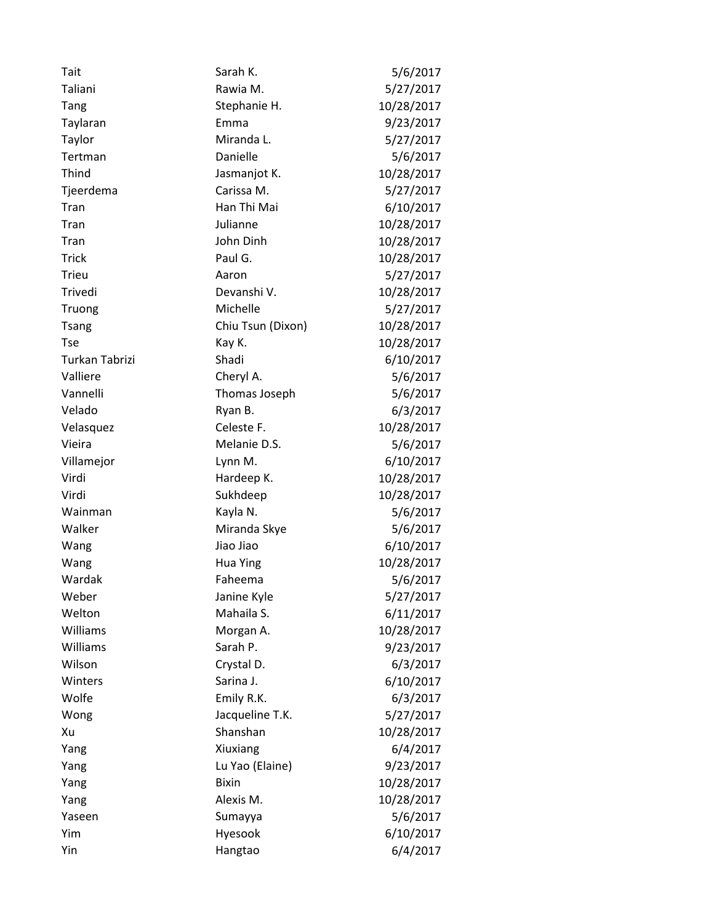| Tait           | Sarah K.          | 5/6/2017   |
|----------------|-------------------|------------|
| Taliani        | Rawia M.          | 5/27/2017  |
| Tang           | Stephanie H.      | 10/28/2017 |
| Taylaran       | Emma              | 9/23/2017  |
| Taylor         | Miranda L.        | 5/27/2017  |
| Tertman        | Danielle          | 5/6/2017   |
| Thind          | Jasmanjot K.      | 10/28/2017 |
| Tjeerdema      | Carissa M.        | 5/27/2017  |
| Tran           | Han Thi Mai       | 6/10/2017  |
| Tran           | Julianne          | 10/28/2017 |
| Tran           | John Dinh         | 10/28/2017 |
| <b>Trick</b>   | Paul G.           | 10/28/2017 |
| <b>Trieu</b>   | Aaron             | 5/27/2017  |
| Trivedi        | Devanshi V.       | 10/28/2017 |
| Truong         | Michelle          | 5/27/2017  |
| <b>Tsang</b>   | Chiu Tsun (Dixon) | 10/28/2017 |
| <b>Tse</b>     | Kay K.            | 10/28/2017 |
| Turkan Tabrizi | Shadi             | 6/10/2017  |
| Valliere       | Cheryl A.         | 5/6/2017   |
| Vannelli       | Thomas Joseph     | 5/6/2017   |
| Velado         | Ryan B.           | 6/3/2017   |
| Velasquez      | Celeste F.        | 10/28/2017 |
| Vieira         | Melanie D.S.      | 5/6/2017   |
| Villamejor     | Lynn M.           | 6/10/2017  |
| Virdi          | Hardeep K.        | 10/28/2017 |
| Virdi          | Sukhdeep          | 10/28/2017 |
| Wainman        | Kayla N.          | 5/6/2017   |
| Walker         | Miranda Skye      | 5/6/2017   |
| Wang           | Jiao Jiao         | 6/10/2017  |
| Wang           | <b>Hua Ying</b>   | 10/28/2017 |
| Wardak         | Faheema           | 5/6/2017   |
| Weber          | Janine Kyle       | 5/27/2017  |
| Welton         | Mahaila S.        | 6/11/2017  |
| Williams       | Morgan A.         | 10/28/2017 |
| Williams       | Sarah P.          | 9/23/2017  |
| Wilson         | Crystal D.        | 6/3/2017   |
| Winters        | Sarina J.         | 6/10/2017  |
| Wolfe          | Emily R.K.        | 6/3/2017   |
| Wong           | Jacqueline T.K.   | 5/27/2017  |
| Xu             | Shanshan          | 10/28/2017 |
| Yang           | Xiuxiang          | 6/4/2017   |
| Yang           | Lu Yao (Elaine)   | 9/23/2017  |
| Yang           | <b>Bixin</b>      | 10/28/2017 |
| Yang           | Alexis M.         | 10/28/2017 |
| Yaseen         | Sumayya           | 5/6/2017   |
| Yim            | Hyesook           | 6/10/2017  |
| Yin            | Hangtao           | 6/4/2017   |